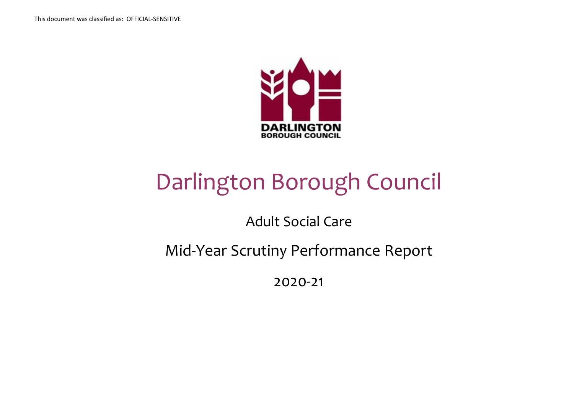

# Darlington Borough Council

Adult Social Care

Mid-Year Scrutiny Performance Report

2020-21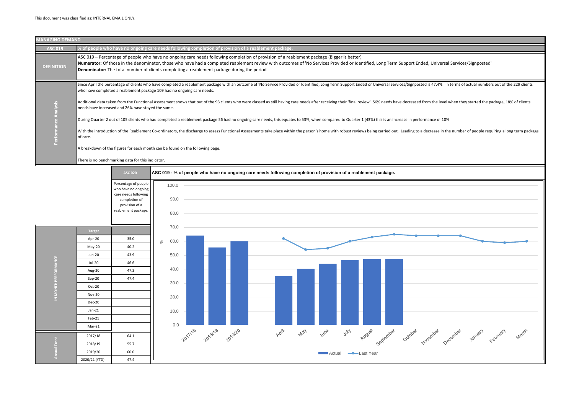

Support Ended, Universal Services/Signposted'

ces/Signposted is 47.4%. In terms of actual numbers out of the 229 clients

decreased from the level when they started the package, 18% of clients

ease in performance of 10%

Leading to a decrease in the number of people requiring a long term package

| <b>MANAGING DEMAND</b>       |                                                                                                                                                                                                                                                                                                                                                                                                                                                                                                                                                                                                                                                                                                                                                                                                                                                                                                                                                                                                                                     |
|------------------------------|-------------------------------------------------------------------------------------------------------------------------------------------------------------------------------------------------------------------------------------------------------------------------------------------------------------------------------------------------------------------------------------------------------------------------------------------------------------------------------------------------------------------------------------------------------------------------------------------------------------------------------------------------------------------------------------------------------------------------------------------------------------------------------------------------------------------------------------------------------------------------------------------------------------------------------------------------------------------------------------------------------------------------------------|
| <b>ASC 019</b>               | % of people who have no ongoing care needs following completion of provision of a reablement package.                                                                                                                                                                                                                                                                                                                                                                                                                                                                                                                                                                                                                                                                                                                                                                                                                                                                                                                               |
| <b>DEFINITION</b>            | ASC 019 – Percentage of people who have no ongoing care needs following completion of provision of a reablement package (Bigger is better)<br>Numerator: Of those in the denominator, those who have had a completed reablement review with outcomes of 'No Services Provided or Identified, Long Term S<br><b>Denominator:</b> The total number of clients completing a reablement package during the period                                                                                                                                                                                                                                                                                                                                                                                                                                                                                                                                                                                                                       |
| <b>Analysis</b><br>ъ<br>erfo | Since April the percentage of clients who have completed a reablement package with an outcome of 'No Service Provided or Identified, Long Term Support Ended or Universal Servic<br>who have completed a reablement package 109 had no ongoing care needs.<br>Additional data taken from the Functional Assessment shows that out of the 93 clients who were classed as still having care needs after receiving their 'final review', 56% needs have<br>needs have increased and 26% have stayed the same.<br>During Quarter 2 out of 105 clients who had completed a reablement package 56 had no ongoing care needs, this equates to 53%, when compared to Quarter 1 (43%) this is an incre<br>With the introduction of the Reablement Co-ordinators, the discharge to assess Functional Assessments take place within the person's home with robust reviews being carried out.<br>of care.<br>A breakdown of the figures for each month can be found on the following page.<br>There is no benchmarking data for this indicator. |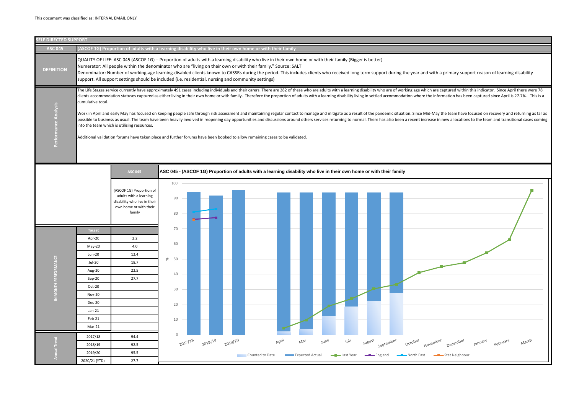

orking age which are captured within this indicator. Since April there were 78 ation where the information has been captured since April is 27.7%. This is a

ion. Since Mid-May the team have focused on recovery and returning as far as a recent increase in new allocations to the team and transitional cases coming

| October     | November<br>December | January | February | March |  |
|-------------|----------------------|---------|----------|-------|--|
| -North East | -Stat Neighbour      |         |          |       |  |

| <b>SELF DIRECTED SUPPORT</b> |                                                                                                                                                                                                                                                                                                                                                                                                                                                                                                                                                                                                                                                                                                                                                                                                                                                                                                                                                                                                                                                                                                       |                                                                                                                                                                                                                                                                                                                                                                                                                                                                                                                                                                                  |  |                 |         |         |                                                                                                                      |       |                        |                     |                     |            |                      |
|------------------------------|-------------------------------------------------------------------------------------------------------------------------------------------------------------------------------------------------------------------------------------------------------------------------------------------------------------------------------------------------------------------------------------------------------------------------------------------------------------------------------------------------------------------------------------------------------------------------------------------------------------------------------------------------------------------------------------------------------------------------------------------------------------------------------------------------------------------------------------------------------------------------------------------------------------------------------------------------------------------------------------------------------------------------------------------------------------------------------------------------------|----------------------------------------------------------------------------------------------------------------------------------------------------------------------------------------------------------------------------------------------------------------------------------------------------------------------------------------------------------------------------------------------------------------------------------------------------------------------------------------------------------------------------------------------------------------------------------|--|-----------------|---------|---------|----------------------------------------------------------------------------------------------------------------------|-------|------------------------|---------------------|---------------------|------------|----------------------|
| <b>ASC 045</b>               |                                                                                                                                                                                                                                                                                                                                                                                                                                                                                                                                                                                                                                                                                                                                                                                                                                                                                                                                                                                                                                                                                                       | (ASCOF 1G) Proportion of adults with a learning disability who live in their own home or with their family                                                                                                                                                                                                                                                                                                                                                                                                                                                                       |  |                 |         |         |                                                                                                                      |       |                        |                     |                     |            |                      |
| <b>DEFINITION</b>            |                                                                                                                                                                                                                                                                                                                                                                                                                                                                                                                                                                                                                                                                                                                                                                                                                                                                                                                                                                                                                                                                                                       | QUALITY OF LIFE: ASC 045 (ASCOF 1G) - Proportion of adults with a learning disability who live in their own home or with their family (Bigger is better)<br>Numerator: All people within the denominator who are "living on their own or with their family." Source: SALT<br>Denominator: Number of working-age learning-disabled clients known to CASSRs during the period. This includes clients who received long term support during the year and with a primary supp<br>support. All support settings should be included (i.e. residential, nursing and community settings) |  |                 |         |         |                                                                                                                      |       |                        |                     |                     |            |                      |
| Analysis<br>rformance        | The Life Stages service currently have approximately 491 cases including individuals and their carers. There are 282 of these who are adults with a learning disability who are of working age which are captured within<br>clients accommodation statuses captured as either living in their own home or with family. Therefore the proportion of adults with a learning disability living in settled accommodation where the information has bee<br>cumulative total.<br>Work in April and early May has focused on keeping people safe through risk assessment and maintaining regular contact to manage and mitigate as a result of the pandemic situation. Since Mid-May the team have f<br>possible to business as usual. The team have been heavily involved in reopening day opportunities and discussions around others services returning to normal. There has also been a recent increase in new allocations<br>into the team which is utilising resources.<br>Additional validation forums have taken place and further forums have been booked to allow remaining cases to be validated. |                                                                                                                                                                                                                                                                                                                                                                                                                                                                                                                                                                                  |  |                 |         |         |                                                                                                                      |       |                        |                     |                     |            |                      |
|                              |                                                                                                                                                                                                                                                                                                                                                                                                                                                                                                                                                                                                                                                                                                                                                                                                                                                                                                                                                                                                                                                                                                       | <b>ASC 045</b>                                                                                                                                                                                                                                                                                                                                                                                                                                                                                                                                                                   |  |                 |         |         | ASC 045 - (ASCOF 1G) Proportion of adults with a learning disability who live in their own home or with their family |       |                        |                     |                     |            |                      |
|                              |                                                                                                                                                                                                                                                                                                                                                                                                                                                                                                                                                                                                                                                                                                                                                                                                                                                                                                                                                                                                                                                                                                       |                                                                                                                                                                                                                                                                                                                                                                                                                                                                                                                                                                                  |  |                 |         |         |                                                                                                                      |       |                        |                     |                     |            |                      |
|                              |                                                                                                                                                                                                                                                                                                                                                                                                                                                                                                                                                                                                                                                                                                                                                                                                                                                                                                                                                                                                                                                                                                       | (ASCOF 1G) Proportion of<br>adults with a learning<br>disability who live in their<br>own home or with their<br>family                                                                                                                                                                                                                                                                                                                                                                                                                                                           |  | 100<br>90<br>80 |         |         |                                                                                                                      |       |                        |                     |                     |            |                      |
|                              |                                                                                                                                                                                                                                                                                                                                                                                                                                                                                                                                                                                                                                                                                                                                                                                                                                                                                                                                                                                                                                                                                                       |                                                                                                                                                                                                                                                                                                                                                                                                                                                                                                                                                                                  |  | 70              |         |         |                                                                                                                      |       |                        |                     |                     |            |                      |
|                              | <b>Target</b>                                                                                                                                                                                                                                                                                                                                                                                                                                                                                                                                                                                                                                                                                                                                                                                                                                                                                                                                                                                                                                                                                         |                                                                                                                                                                                                                                                                                                                                                                                                                                                                                                                                                                                  |  |                 |         |         |                                                                                                                      |       |                        |                     |                     |            |                      |
|                              | Apr-20<br>May-20                                                                                                                                                                                                                                                                                                                                                                                                                                                                                                                                                                                                                                                                                                                                                                                                                                                                                                                                                                                                                                                                                      | $2.2\,$<br>4.0                                                                                                                                                                                                                                                                                                                                                                                                                                                                                                                                                                   |  | 60              |         |         |                                                                                                                      |       |                        |                     |                     |            |                      |
|                              | Jun-20                                                                                                                                                                                                                                                                                                                                                                                                                                                                                                                                                                                                                                                                                                                                                                                                                                                                                                                                                                                                                                                                                                | 12.4                                                                                                                                                                                                                                                                                                                                                                                                                                                                                                                                                                             |  |                 |         |         |                                                                                                                      |       |                        |                     |                     |            |                      |
|                              | Jul-20                                                                                                                                                                                                                                                                                                                                                                                                                                                                                                                                                                                                                                                                                                                                                                                                                                                                                                                                                                                                                                                                                                | 18.7                                                                                                                                                                                                                                                                                                                                                                                                                                                                                                                                                                             |  | $\aleph$ 50     |         |         |                                                                                                                      |       |                        |                     |                     |            |                      |
|                              | Aug-20                                                                                                                                                                                                                                                                                                                                                                                                                                                                                                                                                                                                                                                                                                                                                                                                                                                                                                                                                                                                                                                                                                | 22.5                                                                                                                                                                                                                                                                                                                                                                                                                                                                                                                                                                             |  |                 |         |         |                                                                                                                      |       |                        |                     |                     |            |                      |
| IN MONTH PERFORMANCE         | Sep-20                                                                                                                                                                                                                                                                                                                                                                                                                                                                                                                                                                                                                                                                                                                                                                                                                                                                                                                                                                                                                                                                                                | 27.7                                                                                                                                                                                                                                                                                                                                                                                                                                                                                                                                                                             |  | 40              |         |         |                                                                                                                      |       |                        |                     |                     |            |                      |
|                              | Oct-20                                                                                                                                                                                                                                                                                                                                                                                                                                                                                                                                                                                                                                                                                                                                                                                                                                                                                                                                                                                                                                                                                                |                                                                                                                                                                                                                                                                                                                                                                                                                                                                                                                                                                                  |  | 30              |         |         |                                                                                                                      |       |                        |                     |                     |            |                      |
|                              | <b>Nov-20</b>                                                                                                                                                                                                                                                                                                                                                                                                                                                                                                                                                                                                                                                                                                                                                                                                                                                                                                                                                                                                                                                                                         |                                                                                                                                                                                                                                                                                                                                                                                                                                                                                                                                                                                  |  |                 |         |         |                                                                                                                      |       |                        |                     |                     |            |                      |
|                              | Dec-20                                                                                                                                                                                                                                                                                                                                                                                                                                                                                                                                                                                                                                                                                                                                                                                                                                                                                                                                                                                                                                                                                                |                                                                                                                                                                                                                                                                                                                                                                                                                                                                                                                                                                                  |  | 20              |         |         |                                                                                                                      |       |                        |                     |                     |            |                      |
|                              | $Jan-21$                                                                                                                                                                                                                                                                                                                                                                                                                                                                                                                                                                                                                                                                                                                                                                                                                                                                                                                                                                                                                                                                                              |                                                                                                                                                                                                                                                                                                                                                                                                                                                                                                                                                                                  |  |                 |         |         |                                                                                                                      |       |                        |                     |                     |            |                      |
|                              | Feb-21                                                                                                                                                                                                                                                                                                                                                                                                                                                                                                                                                                                                                                                                                                                                                                                                                                                                                                                                                                                                                                                                                                |                                                                                                                                                                                                                                                                                                                                                                                                                                                                                                                                                                                  |  | 10              |         |         |                                                                                                                      |       |                        |                     |                     |            |                      |
|                              | Mar-21                                                                                                                                                                                                                                                                                                                                                                                                                                                                                                                                                                                                                                                                                                                                                                                                                                                                                                                                                                                                                                                                                                |                                                                                                                                                                                                                                                                                                                                                                                                                                                                                                                                                                                  |  |                 |         |         |                                                                                                                      |       |                        |                     |                     |            |                      |
|                              | 2017/18                                                                                                                                                                                                                                                                                                                                                                                                                                                                                                                                                                                                                                                                                                                                                                                                                                                                                                                                                                                                                                                                                               | 94.4                                                                                                                                                                                                                                                                                                                                                                                                                                                                                                                                                                             |  | $\mathsf{O}$    |         |         |                                                                                                                      |       |                        |                     |                     |            |                      |
|                              | 2018/19                                                                                                                                                                                                                                                                                                                                                                                                                                                                                                                                                                                                                                                                                                                                                                                                                                                                                                                                                                                                                                                                                               | 92.5                                                                                                                                                                                                                                                                                                                                                                                                                                                                                                                                                                             |  | 2017/18         | 2018/19 | 2019/20 |                                                                                                                      | April | May                    | <b>YulY</b><br>June | August<br>September | October    | December<br>November |
| Annual Trend                 | 2019/20                                                                                                                                                                                                                                                                                                                                                                                                                                                                                                                                                                                                                                                                                                                                                                                                                                                                                                                                                                                                                                                                                               | 95.5                                                                                                                                                                                                                                                                                                                                                                                                                                                                                                                                                                             |  |                 |         |         | Counted to Date                                                                                                      |       | <b>Expected Actual</b> | Last Year           | England             | North East | -Stat Neighbour      |
|                              | 2020/21 (YTD)                                                                                                                                                                                                                                                                                                                                                                                                                                                                                                                                                                                                                                                                                                                                                                                                                                                                                                                                                                                                                                                                                         | 27.7                                                                                                                                                                                                                                                                                                                                                                                                                                                                                                                                                                             |  |                 |         |         |                                                                                                                      |       |                        |                     |                     |            |                      |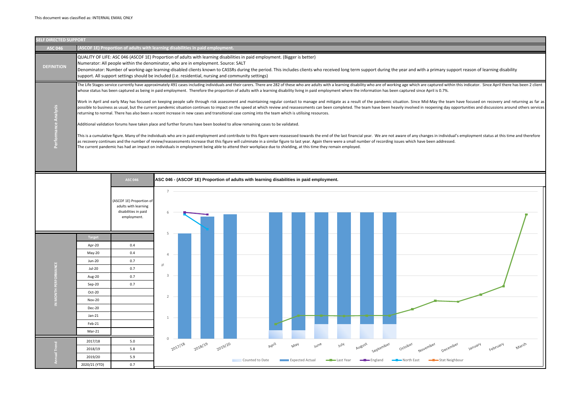| <b>ELF DIRECTED SUPPORT</b> |                                                                                                                                              |                                                                                                                                                                                                                                                                                                                                                                                                                                                                                                                                                                                                                                                                                                                                                                                                                                                                                                                                                                                                                                                                                                                                                                                                                                                                                                                                                                                                                                                                                                                                                                         |                                                       |                  |         |         |                                                                                          |       |                               |      |                                         |                   |           |
|-----------------------------|----------------------------------------------------------------------------------------------------------------------------------------------|-------------------------------------------------------------------------------------------------------------------------------------------------------------------------------------------------------------------------------------------------------------------------------------------------------------------------------------------------------------------------------------------------------------------------------------------------------------------------------------------------------------------------------------------------------------------------------------------------------------------------------------------------------------------------------------------------------------------------------------------------------------------------------------------------------------------------------------------------------------------------------------------------------------------------------------------------------------------------------------------------------------------------------------------------------------------------------------------------------------------------------------------------------------------------------------------------------------------------------------------------------------------------------------------------------------------------------------------------------------------------------------------------------------------------------------------------------------------------------------------------------------------------------------------------------------------------|-------------------------------------------------------|------------------|---------|---------|------------------------------------------------------------------------------------------|-------|-------------------------------|------|-----------------------------------------|-------------------|-----------|
| <b>ASC 046</b>              |                                                                                                                                              | (ASCOF 1E) Proportion of adults with learning disabilities in paid employment.                                                                                                                                                                                                                                                                                                                                                                                                                                                                                                                                                                                                                                                                                                                                                                                                                                                                                                                                                                                                                                                                                                                                                                                                                                                                                                                                                                                                                                                                                          |                                                       |                  |         |         |                                                                                          |       |                               |      |                                         |                   |           |
| <b>DEFINITION</b>           |                                                                                                                                              | QUALITY OF LIFE: ASC 046 (ASCOF 1E) Proportion of adults with learning disabilities in paid employment. (Bigger is better)<br>Numerator: All people within the denominator, who are in employment. Source: SALT<br>Denominator: Number of working-age learning-disabled clients known to CASSRs during the period. This includes clients who received long term support during<br>support. All support settings should be included (i.e. residential, nursing and community settings)                                                                                                                                                                                                                                                                                                                                                                                                                                                                                                                                                                                                                                                                                                                                                                                                                                                                                                                                                                                                                                                                                   |                                                       |                  |         |         |                                                                                          |       |                               |      |                                         |                   |           |
| Performance Analysis        |                                                                                                                                              | The Life Stages service currently have approximately 491 cases including individuals and their carers. There are 282 of these who are adults with a learning disability who are of wo<br>whose status has been captured as being in paid employment. Therefore the proportion of adults with a learning disability living in paid employment where the information has b<br>Work in April and early May has focused on keeping people safe through risk assessment and maintaining regular contact to manage and mitigate as a result of the pandemic<br>possible to business as usual, but the current pandemic situation continues to impact on the speed at which review and reassessments can been completed. The team have been<br>returning to normal. There has also been a recent increase in new cases and transitional case coming into the team which is utilising resources.<br>Additional validation forums have taken place and further forums have been booked to allow remaining cases to be validated.<br>This is a cumulative figure. Many of the individuals who are in paid employment and contribute to this figure were reassessed towards the end of the last financial year. We are no<br>as recovery continues and the number of review/reassessments increase that this figure will culminate in a similar figure to last year. Again there were a small number of recording<br>The current pandemic has had an impact on individuals in employment being able to attend their workplace due to shielding, at this time they remain employed. |                                                       |                  |         |         |                                                                                          |       |                               |      |                                         |                   |           |
|                             |                                                                                                                                              | <b>ASC 046</b><br>(ASCOF 1E) Proportion of<br>adults with learning<br>disabilities in paid<br>employment.                                                                                                                                                                                                                                                                                                                                                                                                                                                                                                                                                                                                                                                                                                                                                                                                                                                                                                                                                                                                                                                                                                                                                                                                                                                                                                                                                                                                                                                               | $\overline{7}$                                        |                  |         |         | ASC 046 - (ASCOF 1E) Proportion of adults with learning disabilities in paid employment. |       |                               |      |                                         |                   |           |
| IN MONTH PERFORMANCE        | <b>Target</b><br>Apr-20<br>May-20<br>Jun-20<br>Jul-20<br>Aug-20<br>Sep-20<br>Oct-20<br><b>Nov-20</b><br>Dec-20<br>Jan-21<br>Feb-21<br>Mar-21 | 0.4<br>0.4<br>0.7<br>0.7<br>0.7<br>0.7                                                                                                                                                                                                                                                                                                                                                                                                                                                                                                                                                                                                                                                                                                                                                                                                                                                                                                                                                                                                                                                                                                                                                                                                                                                                                                                                                                                                                                                                                                                                  | 5<br>4<br>$\%$<br>3<br>$\overline{2}$<br>$\mathbf{1}$ | $\sim$<br>$\sim$ |         |         |                                                                                          |       |                               |      |                                         |                   |           |
| Annual Trend                | 2017/18<br>2018/19<br>2019/20<br>2020/21 (YTD)                                                                                               | 5.0<br>5.8<br>5.9<br>0.7                                                                                                                                                                                                                                                                                                                                                                                                                                                                                                                                                                                                                                                                                                                                                                                                                                                                                                                                                                                                                                                                                                                                                                                                                                                                                                                                                                                                                                                                                                                                                | $\Omega$                                              | 2017/18          | 2018/19 | 2019/20 | Counted to Date                                                                          | April | May<br><b>Expected Actual</b> | June | <b>Mul</b><br><del>– ∎ L</del> ast Year | August<br>England | september |

g the year and with a primary support reason of learning disability

orking age which are captured within this indicator. Since April there has been 2 client been captured since April is 0.7%.

situation. Since Mid-May the team have focused on recovery and returning as far as heavily involved in reopening day opportunities and discussions around others services

not aware of any changes in individual's employment status at this time and therefore ng issues which have been addressed.

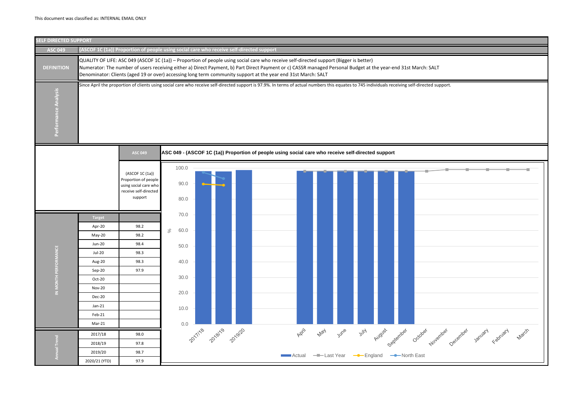

| port.           |         |          |       |  |
|-----------------|---------|----------|-------|--|
|                 |         |          |       |  |
|                 |         |          |       |  |
|                 |         |          |       |  |
|                 |         |          |       |  |
|                 |         |          |       |  |
|                 |         |          |       |  |
|                 |         |          |       |  |
|                 |         |          |       |  |
|                 |         |          |       |  |
|                 |         |          |       |  |
|                 |         |          |       |  |
|                 |         |          |       |  |
|                 |         |          |       |  |
|                 |         |          |       |  |
|                 |         |          |       |  |
|                 |         |          |       |  |
|                 |         |          |       |  |
|                 |         |          |       |  |
|                 |         |          |       |  |
|                 |         |          |       |  |
|                 |         |          |       |  |
| December<br>per |         | February | March |  |
|                 | January |          |       |  |
|                 |         |          |       |  |
|                 |         |          |       |  |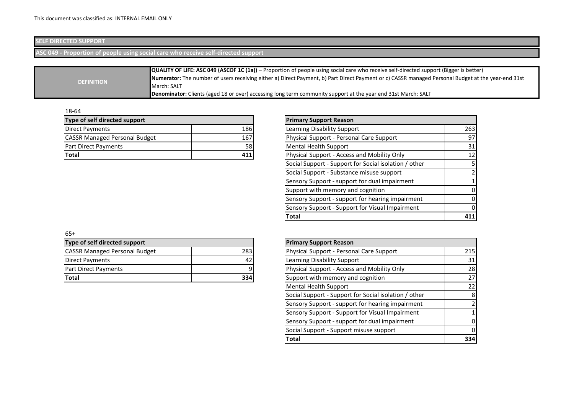# **SELF DIRECTED SUPPORT**

**ASC 049 - Proportion of people using social care who receive self-directed support**

|                   | <b>QUALITY OF LIFE: ASC 049 (ASCOF 1C (1a))</b> – Proportion of people using social care who receive self-directed support (Bigger is better)             |
|-------------------|-----------------------------------------------------------------------------------------------------------------------------------------------------------|
|                   | <b>Numerator:</b> The number of users receiving either a) Direct Payment, b) Part Direct Payment or c) CASSR managed Personal Budget at the year-end 31st |
| <b>DEFINITION</b> | March: SALT                                                                                                                                               |
|                   | Denominator: Clients (aged 18 or over) accessing long term community support at the year end 31st March: SALT                                             |

18-64

| <b>Primary Support Reason</b>    |
|----------------------------------|
| Learning Disability Suppo        |
| Physical Support - Persor        |
| Mental Health Support            |
| <b>Physical Support - Access</b> |
|                                  |

| Type of self directed support        |     | <b>Primary Support Reason</b>                         |                 |
|--------------------------------------|-----|-------------------------------------------------------|-----------------|
| Direct Payments                      | 186 | Learning Disability Support                           | 263             |
| <b>CASSR Managed Personal Budget</b> | 167 | Physical Support - Personal Care Support              | 97              |
| Part Direct Payments                 | 58  | <b>Mental Health Support</b>                          | 31              |
| Total                                | 411 | Physical Support - Access and Mobility Only           | 12 <sub>l</sub> |
|                                      |     | Social Support - Support for Social isolation / other |                 |
|                                      |     | Social Support - Substance misuse support             |                 |
|                                      |     | Sensory Support - support for dual impairment         |                 |
|                                      |     | Support with memory and cognition                     |                 |
|                                      |     | Sensory Support - support for hearing impairment      |                 |
|                                      |     | Sensory Support - Support for Visual Impairment       |                 |
|                                      |     | <b>Total</b>                                          | 411             |

65+

| Type of self directed support        |     |  |  |  |  |  |  |  |
|--------------------------------------|-----|--|--|--|--|--|--|--|
| <b>CASSR Managed Personal Budget</b> | 283 |  |  |  |  |  |  |  |
| Direct Payments                      |     |  |  |  |  |  |  |  |
| <b>Part Direct Payments</b>          |     |  |  |  |  |  |  |  |
| lTotal                               |     |  |  |  |  |  |  |  |

| Type of self directed support        |     | <b>Primary Support Reason</b>                         |          |
|--------------------------------------|-----|-------------------------------------------------------|----------|
| <b>CASSR Managed Personal Budget</b> | 283 | Physical Support - Personal Care Support              | 215      |
| Direct Payments                      | 42  | Learning Disability Support                           | 31       |
| Part Direct Payments                 |     | Physical Support - Access and Mobility Only           | 28       |
| Total                                | 334 | Support with memory and cognition                     | 27       |
|                                      |     | <b>Mental Health Support</b>                          | 22       |
|                                      |     | Social Support - Support for Social isolation / other | 8        |
|                                      |     | Sensory Support - support for hearing impairment      |          |
|                                      |     | Sensory Support - Support for Visual Impairment       |          |
|                                      |     | Sensory Support - support for dual impairment         | ΟI       |
|                                      |     | Social Support - Support misuse support               | $\Omega$ |
|                                      |     | <b>Total</b>                                          | 334      |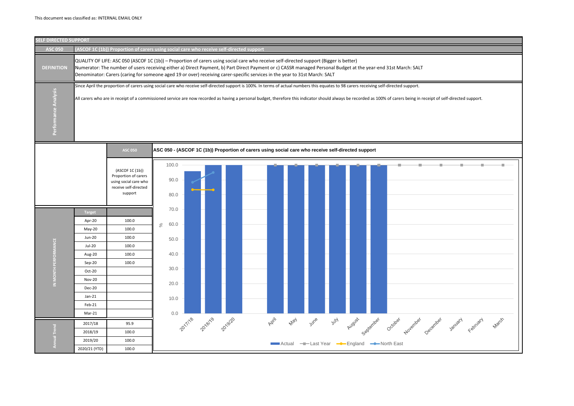

| eipt of self-directed support. |         |          |       |  |
|--------------------------------|---------|----------|-------|--|
|                                |         |          |       |  |
|                                |         |          |       |  |
|                                |         |          |       |  |
|                                |         |          |       |  |
|                                |         |          |       |  |
|                                |         |          |       |  |
|                                |         |          |       |  |
|                                |         |          |       |  |
|                                |         |          |       |  |
|                                |         |          |       |  |
|                                |         |          |       |  |
|                                |         |          |       |  |
|                                |         |          |       |  |
|                                |         |          |       |  |
|                                |         |          |       |  |
|                                |         |          |       |  |
| cember                         | January | February | March |  |
|                                |         |          |       |  |
|                                |         |          |       |  |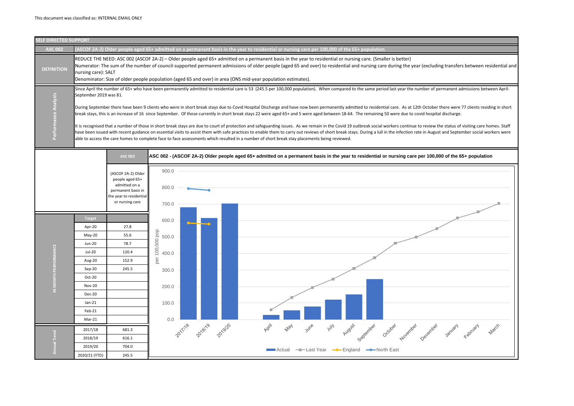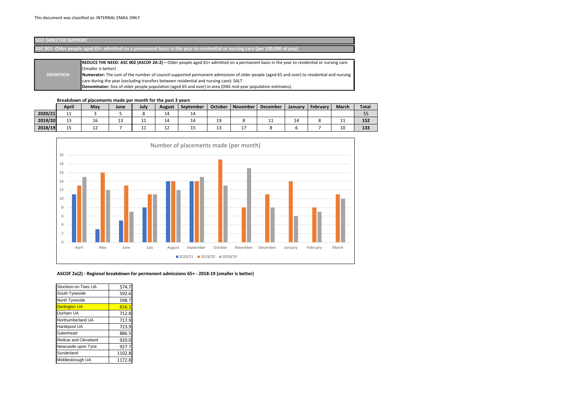### **Breakdown of placements made per month for the past 3 years**

|         | <b>April</b> | May       | June | July | <b>August</b> | September | <b>October</b> | November      | <b>December</b> | January | February | <b>March</b> | <b>Total</b> |
|---------|--------------|-----------|------|------|---------------|-----------|----------------|---------------|-----------------|---------|----------|--------------|--------------|
| 2020/21 | -- -         |           |      |      | ᅩ             | 14        |                |               |                 |         |          |              | ر ر          |
| 2019/20 | --           | ΤO        | ᅩ    | . .  | 14            | 14        | 19             |               | <b>TT</b>       |         |          | -- --        | 152          |
| 2018/19 | . .<br>--    | <u>+4</u> |      | .    | <u>+4</u>     | ر 1       | 1 J<br>∸       | <u>. на с</u> |                 |         |          | TÛ           | 133          |



**ASCOF 2a(2) - Regional breakdown for permanent admissions 65+ - 2018-19 (smaller is better)**

| 574.7  |
|--------|
| 592.6  |
| 598.7  |
| 616.1  |
| 712.8  |
| 717.9  |
| 723.9  |
| 886.5  |
| 920.0  |
| 927.7  |
| 1102.8 |
| 1172.8 |
|        |

| <b>SELF DIRECTED SUPPORT</b> |                                                                                                                                                                                                                                                                                                                                                                                                                                                                                                                            |
|------------------------------|----------------------------------------------------------------------------------------------------------------------------------------------------------------------------------------------------------------------------------------------------------------------------------------------------------------------------------------------------------------------------------------------------------------------------------------------------------------------------------------------------------------------------|
|                              | ASC 002- Older people aged 65+ admitted on a permanent basis in the year to residential or nursing care (per 100,000 of pop)                                                                                                                                                                                                                                                                                                                                                                                               |
| <b>DEFINITION</b>            | <b>REDUCE THE NEED: ASC 002 (ASCOF 2A-2)</b> – Older people aged 65+ admitted on a permanent basis in the year to residential or nursing care.<br>(Smaller is better)<br>Numerator: The sum of the number of council-supported permanent admissions of older people (aged 65 and over) to residential and nursing<br>care during the year (excluding transfers between residential and nursing care): SALT<br>Denominator: Size of older people population (aged 65 and over) in area (ONS mid-year population estimates). |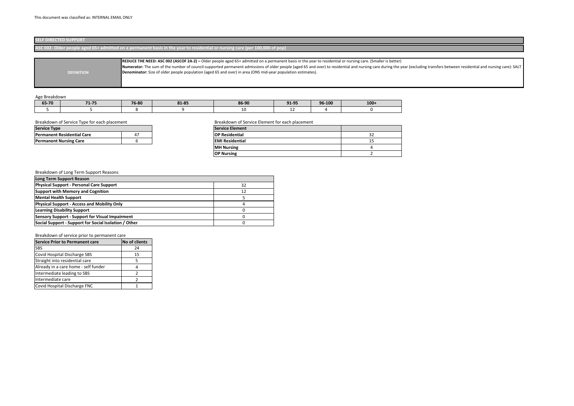### Age Breakdown

| 65-70 | 74.7 <sub>F</sub> | 76-80 | 81-85 | 86-90 | <b>01 QE</b><br>コエーココ | 96-100 | $100+$ |
|-------|-------------------|-------|-------|-------|-----------------------|--------|--------|
|       |                   |       |       | ∸∼    | --                    |        |        |

## Breakdown of Service Type for each placement Breakdown of Service Element for each placement

## Breakdown of Long Term Support Reasons

### Breakdown of service prior to permanent care

| <b>Service Prior to Permanent care</b> | <b>No of clients</b> |
|----------------------------------------|----------------------|
| <b>SBS</b>                             | 24                   |
| Covid Hospital Discharge SBS           | 15                   |
| Straight into residential care         |                      |
| Already in a care home - self funder   |                      |
| Intermediate leading to SBS            | 7                    |
| Intermediate care                      |                      |
| Covid Hospital Discharge FNC           |                      |

he year (excluding transfers between residential and nursing care): SALT





| <b>Service Type</b>               |   | <b>Service Element</b> |         |
|-----------------------------------|---|------------------------|---------|
| <b>Permanent Residential Care</b> | 4 | <b>OP Residential</b>  | ~<br>JL |
| <b>Permanent Nursing Care</b>     |   | <b>EMI Residential</b> | --      |
|                                   |   | <b>IMH Nursing</b>     |         |
|                                   |   | <b>OP Nursing</b>      |         |

| Long Term Support Reason                               |    |
|--------------------------------------------------------|----|
| <b>Physical Support - Personal Care Support</b>        | 32 |
| <b>Support with Memory and Cognition</b>               | 12 |
| <b>Mental Health Support</b>                           |    |
| <b>Physical Support - Access and Mobility Only</b>     |    |
| <b>Learning Disability Support</b>                     |    |
| <b>Sensory Support - Support for Visual Impairment</b> |    |
| Social Support - Support for Social Isolation / Other  |    |

| <b>SELF DIRECTED SUPPORT</b>                                                                                                 |
|------------------------------------------------------------------------------------------------------------------------------|
| ASC 002- Older people aged 65+ admitted on a permanent basis in the year to residential or nursing care (per 100,000 of pop) |

|                   | REDUCE THE NEED: ASC 002 (ASCOF 2A-2) – Older people aged 65+ admitted on a permanent basis in the year to residential or nursing care. (Smaller is better) |
|-------------------|-------------------------------------------------------------------------------------------------------------------------------------------------------------|
|                   | Numerator: The sum of the number of council-supported permanent admissions of older people (aged 65 and over) to residential and nursing care during the y  |
| <b>DEFINITION</b> | Denominator: Size of older people population (aged 65 and over) in area (ONS mid-year population estimates).                                                |
|                   |                                                                                                                                                             |
|                   |                                                                                                                                                             |
|                   |                                                                                                                                                             |

| <b>Service Type</b>               |    |
|-----------------------------------|----|
| <b>Permanent Residential Care</b> | 47 |
| <b>Permanent Nursing Care</b>     |    |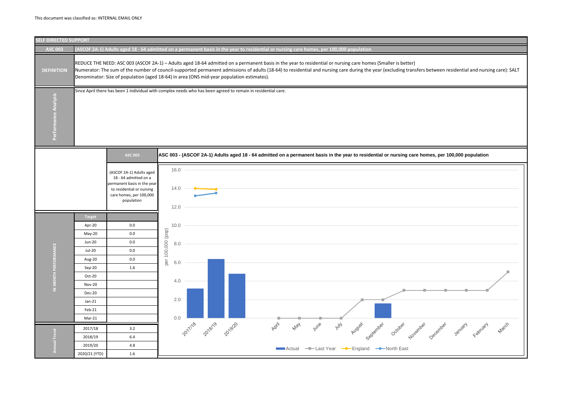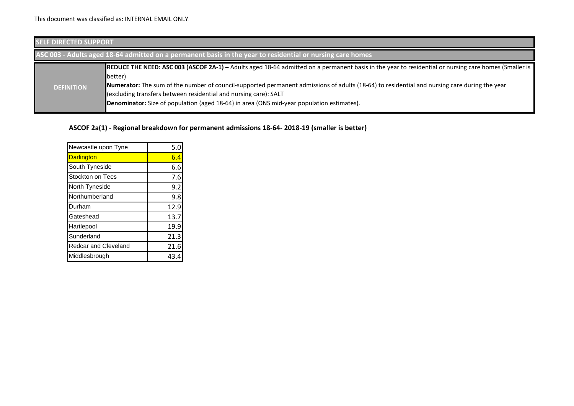| <b>SELF DIRECTED SUPPORT</b> |                                                                                                                                                                                                                                                                                                                                                                                                                                                                                         |
|------------------------------|-----------------------------------------------------------------------------------------------------------------------------------------------------------------------------------------------------------------------------------------------------------------------------------------------------------------------------------------------------------------------------------------------------------------------------------------------------------------------------------------|
|                              | ASC 003 - Adults aged 18-64 admitted on a permanent basis in the year to residential or nursing care homes                                                                                                                                                                                                                                                                                                                                                                              |
| <b>DEFINITION</b>            | <b>REDUCE THE NEED: ASC 003 (ASCOF 2A-1)</b> - Adults aged 18-64 admitted on a permanent basis in the year to residential or nursing care homes (Smaller is<br>better)<br>Numerator: The sum of the number of council-supported permanent admissions of adults (18-64) to residential and nursing care during the year<br>(excluding transfers between residential and nursing care): SALT<br>Denominator: Size of population (aged 18-64) in area (ONS mid-year population estimates). |

## **ASCOF 2a(1) - Regional breakdown for permanent admissions 18-64- 2018-19 (smaller is better)**

| Newcastle upon Tyne  | 5.0  |
|----------------------|------|
| <b>Darlington</b>    | 6.4  |
| South Tyneside       | 6.6  |
| Stockton on Tees     | 7.6  |
| North Tyneside       | 9.2  |
| Northumberland       | 9.8  |
| Durham               | 12.9 |
| Gateshead            | 13.7 |
| Hartlepool           | 19.9 |
| Sunderland           | 21.3 |
| Redcar and Cleveland | 21.6 |
| Middlesbrough        | 43.4 |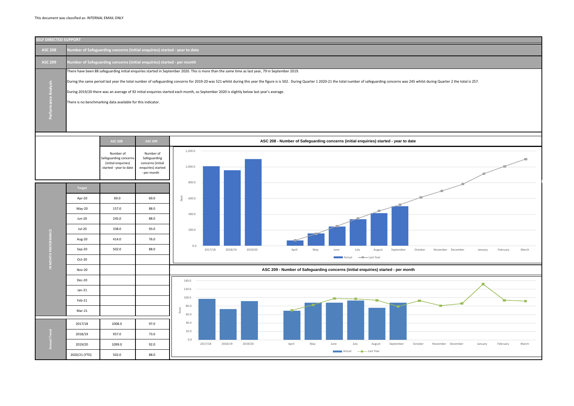

ber of safeguarding concerns was 245 whilst during Quarter 2 the total is 257. 2017/18 2018/19 2019/20 April May June July August September October November December January February March **Last Year** Actual **Company** Last Year 2017/18 2018/19 2019/20 April May June July August September October November December January February March **Last Year** Actual **Company** Last Year

| <b>SELF DIRECTED SUPPORT</b>                                                                                                                                                         |
|--------------------------------------------------------------------------------------------------------------------------------------------------------------------------------------|
| Number of Safeguarding concerns (initial enquiries) started - year to date                                                                                                           |
| Number of Safeguarding concerns (initial enquiries) started - per month                                                                                                              |
| There have been 88 safeguarding initial enquiries started in September 2020. This is more than the same time as last year, 79 in September 2019.                                     |
| During the same period last year the total number of safeguarding concerns for 2019-20 was 521 whilst during this year the figure is is 502. During Quarter 1 2020-21 the total numb |
| During 2019/20 there was an average of 92 initial enquiries started each month, so September 2020 is slightly below last year's average.                                             |
| There is no benchmarking data available for this indicator.                                                                                                                          |
|                                                                                                                                                                                      |
|                                                                                                                                                                                      |